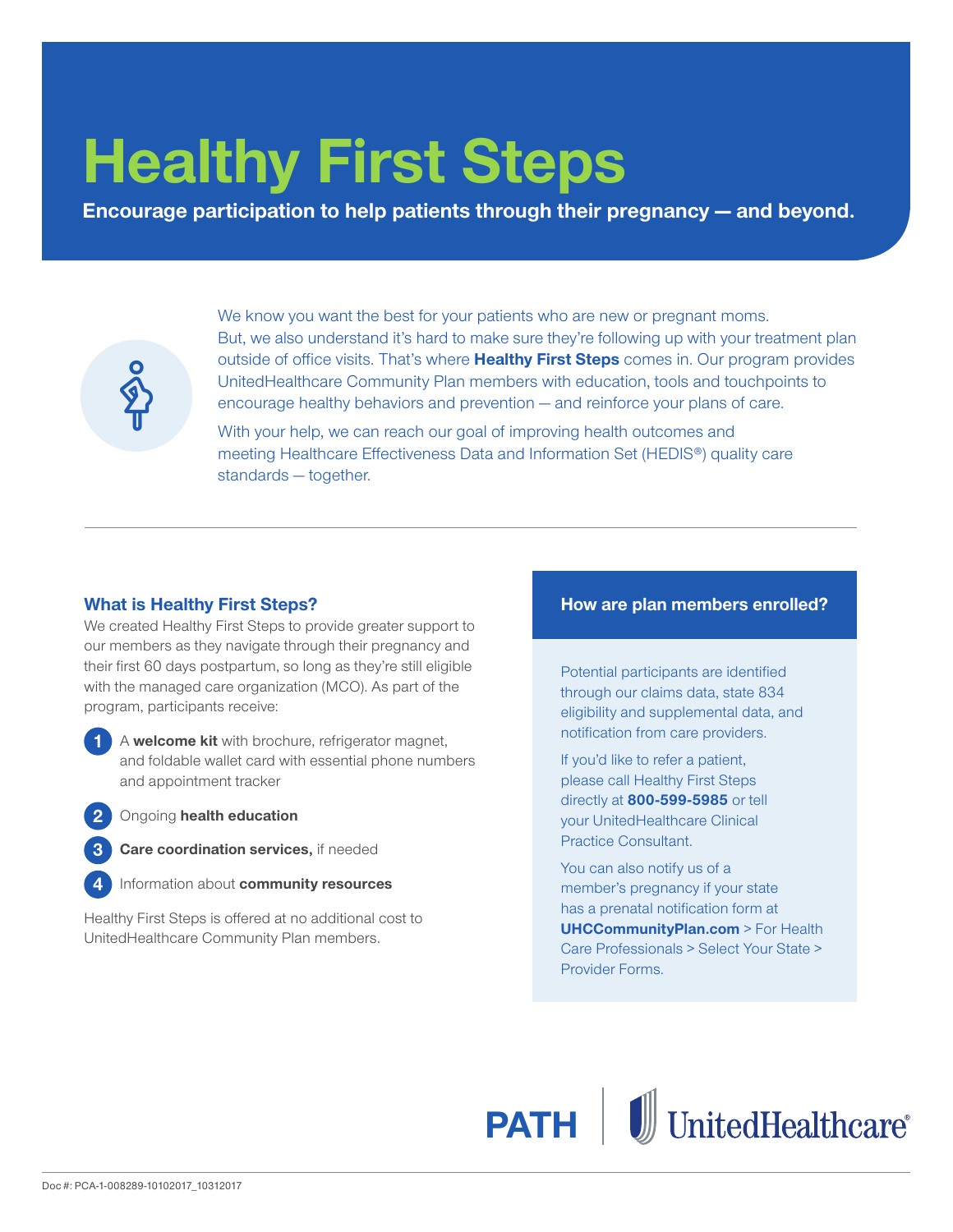# **Healthy First Steps**

**Encourage participation to help patients through their pregnancy — and beyond.**



We know you want the best for your patients who are new or pregnant moms. But, we also understand it's hard to make sure they're following up with your treatment plan outside of office visits. That's where **Healthy First Steps** comes in. Our program provides UnitedHealthcare Community Plan members with education, tools and touchpoints to encourage healthy behaviors and prevention — and reinforce your plans of care.

With your help, we can reach our goal of improving health outcomes and meeting Healthcare Effectiveness Data and Information Set (HEDIS®) quality care standards — together.

## **What is Healthy First Steps?**

We created Healthy First Steps to provide greater support to our members as they navigate through their pregnancy and their first 60 days postpartum, so long as they're still eligible with the managed care organization (MCO). As part of the program, participants receive:



**1** A **welcome kit** with brochure, refrigerator magnet, and foldable wallet card with essential phone numbers and appointment tracker

**2** Ongoing **health education**

**3 Care coordination services,** if needed

**4** Information about **community resources**

Healthy First Steps is offered at no additional cost to UnitedHealthcare Community Plan members.

#### **How are plan members enrolled?**

Potential participants are identified through our claims data, state 834 eligibility and supplemental data, and notification from care providers.

If you'd like to refer a patient, please call Healthy First Steps directly at **800-599-5985** or tell your UnitedHealthcare Clinical Practice Consultant.

You can also notify us of a member's pregnancy if your state has a prenatal notification form at **UHCCommunityPlan.com** > For Health Care Professionals > Select Your State > Provider Forms.